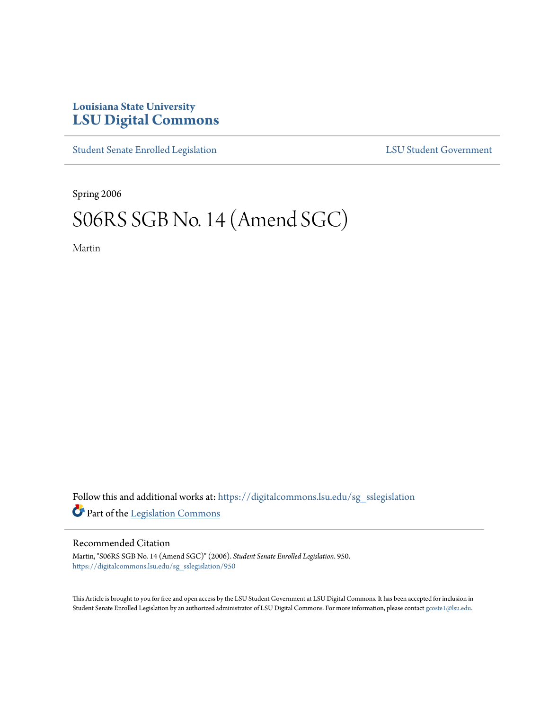### **Louisiana State University [LSU Digital Commons](https://digitalcommons.lsu.edu?utm_source=digitalcommons.lsu.edu%2Fsg_sslegislation%2F950&utm_medium=PDF&utm_campaign=PDFCoverPages)**

[Student Senate Enrolled Legislation](https://digitalcommons.lsu.edu/sg_sslegislation?utm_source=digitalcommons.lsu.edu%2Fsg_sslegislation%2F950&utm_medium=PDF&utm_campaign=PDFCoverPages) [LSU Student Government](https://digitalcommons.lsu.edu/sg?utm_source=digitalcommons.lsu.edu%2Fsg_sslegislation%2F950&utm_medium=PDF&utm_campaign=PDFCoverPages)

Spring 2006

# S06RS SGB No. 14 (Amend SGC)

Martin

Follow this and additional works at: [https://digitalcommons.lsu.edu/sg\\_sslegislation](https://digitalcommons.lsu.edu/sg_sslegislation?utm_source=digitalcommons.lsu.edu%2Fsg_sslegislation%2F950&utm_medium=PDF&utm_campaign=PDFCoverPages) Part of the [Legislation Commons](http://network.bepress.com/hgg/discipline/859?utm_source=digitalcommons.lsu.edu%2Fsg_sslegislation%2F950&utm_medium=PDF&utm_campaign=PDFCoverPages)

### Recommended Citation

Martin, "S06RS SGB No. 14 (Amend SGC)" (2006). *Student Senate Enrolled Legislation*. 950. [https://digitalcommons.lsu.edu/sg\\_sslegislation/950](https://digitalcommons.lsu.edu/sg_sslegislation/950?utm_source=digitalcommons.lsu.edu%2Fsg_sslegislation%2F950&utm_medium=PDF&utm_campaign=PDFCoverPages)

This Article is brought to you for free and open access by the LSU Student Government at LSU Digital Commons. It has been accepted for inclusion in Student Senate Enrolled Legislation by an authorized administrator of LSU Digital Commons. For more information, please contact [gcoste1@lsu.edu.](mailto:gcoste1@lsu.edu)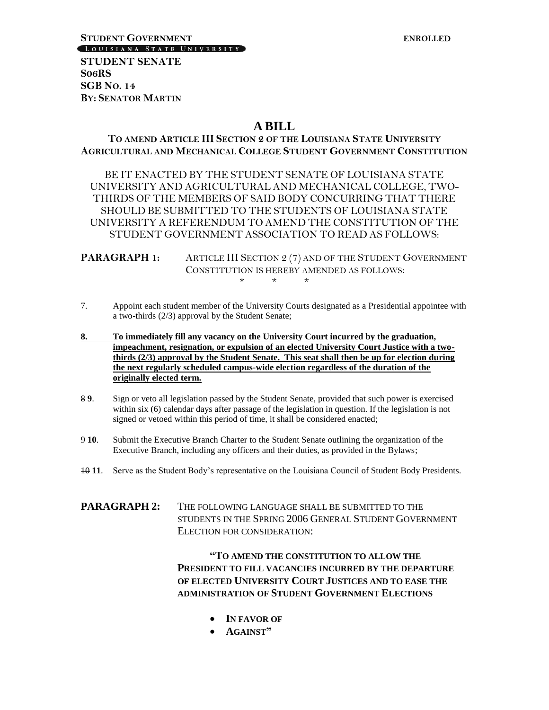## **STUDENT GOVERNMENT**<br> **LOUISIANA STATE UNIVERSITY**

**STUDENT SENATE S06RS SGB NO. 14 BY: SENATOR MARTIN**

### **A BILL**

**TO AMEND ARTICLE III SECTION 2 OF THE LOUISIANA STATE UNIVERSITY AGRICULTURAL AND MECHANICAL COLLEGE STUDENT GOVERNMENT CONSTITUTION**

BE IT ENACTED BY THE STUDENT SENATE OF LOUISIANA STATE UNIVERSITY AND AGRICULTURAL AND MECHANICAL COLLEGE, TWO-THIRDS OF THE MEMBERS OF SAID BODY CONCURRING THAT THERE SHOULD BE SUBMITTED TO THE STUDENTS OF LOUISIANA STATE UNIVERSITY A REFERENDUM TO AMEND THE CONSTITUTION OF THE STUDENT GOVERNMENT ASSOCIATION TO READ AS FOLLOWS:

**PARAGRAPH 1:** ARTICLE III SECTION 2 (7) AND OF THE STUDENT GOVERNMENT CONSTITUTION IS HEREBY AMENDED AS FOLLOWS:  $\star$ 

- 7. Appoint each student member of the University Courts designated as a Presidential appointee with a two-thirds (2/3) approval by the Student Senate;
- **8. To immediately fill any vacancy on the University Court incurred by the graduation, impeachment, resignation, or expulsion of an elected University Court Justice with a twothirds (2/3) approval by the Student Senate. This seat shall then be up for election during the next regularly scheduled campus-wide election regardless of the duration of the originally elected term.**
- 8 **9**. Sign or veto all legislation passed by the Student Senate, provided that such power is exercised within six (6) calendar days after passage of the legislation in question. If the legislation is not signed or vetoed within this period of time, it shall be considered enacted;
- 9 **10**. Submit the Executive Branch Charter to the Student Senate outlining the organization of the Executive Branch, including any officers and their duties, as provided in the Bylaws;
- 10 **11**. Serve as the Student Body's representative on the Louisiana Council of Student Body Presidents.

**PARAGRAPH 2:** THE FOLLOWING LANGUAGE SHALL BE SUBMITTED TO THE STUDENTS IN THE SPRING 2006 GENERAL STUDENT GOVERNMENT ELECTION FOR CONSIDERATION:

> **"TO AMEND THE CONSTITUTION TO ALLOW THE PRESIDENT TO FILL VACANCIES INCURRED BY THE DEPARTURE OF ELECTED UNIVERSITY COURT JUSTICES AND TO EASE THE ADMINISTRATION OF STUDENT GOVERNMENT ELECTIONS**

- **IN FAVOR OF**
- **AGAINST"**